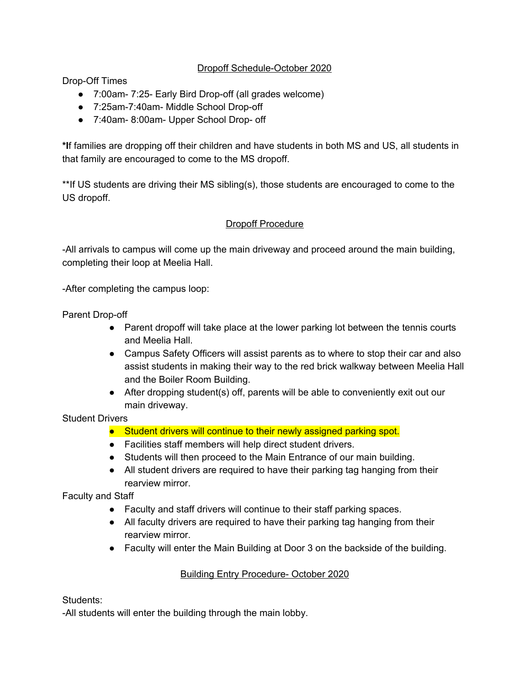## Dropoff Schedule-October 2020

Drop-Off Times

- 7:00am- 7:25- Early Bird Drop-off (all grades welcome)
- 7:25am-7:40am- Middle School Drop-off
- 7:40am- 8:00am- Upper School Drop- off

**\*I**f families are dropping off their children and have students in both MS and US, all students in that family are encouraged to come to the MS dropoff.

\*\*If US students are driving their MS sibling(s), those students are encouraged to come to the US dropoff.

## Dropoff Procedure

-All arrivals to campus will come up the main driveway and proceed around the main building, completing their loop at Meelia Hall.

-After completing the campus loop:

Parent Drop-off

- Parent dropoff will take place at the lower parking lot between the tennis courts and Meelia Hall.
- Campus Safety Officers will assist parents as to where to stop their car and also assist students in making their way to the red brick walkway between Meelia Hall and the Boiler Room Building.
- After dropping student(s) off, parents will be able to conveniently exit out our main driveway.

Student Drivers

- Student drivers will continue to their newly assigned parking spot.
- Facilities staff members will help direct student drivers.
- Students will then proceed to the Main Entrance of our main building.
- All student drivers are required to have their parking tag hanging from their rearview mirror.

Faculty and Staff

- Faculty and staff drivers will continue to their staff parking spaces.
- All faculty drivers are required to have their parking tag hanging from their rearview mirror.
- Faculty will enter the Main Building at Door 3 on the backside of the building.

## Building Entry Procedure- October 2020

Students:

-All students will enter the building through the main lobby.